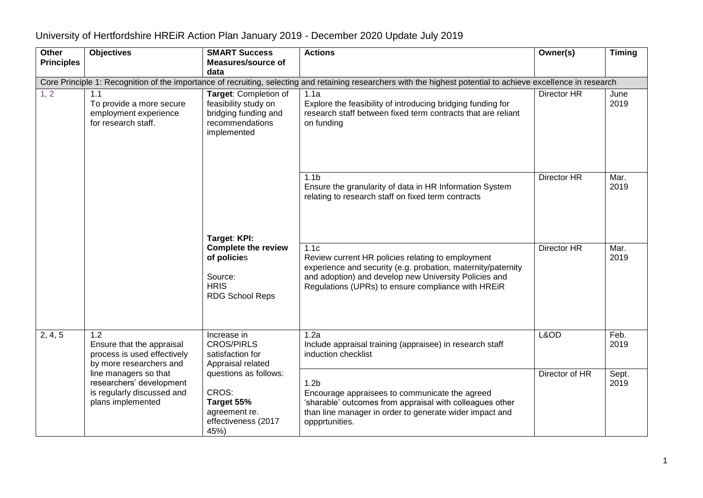| Other                                                                                                                                                           | <b>Objectives</b>                                                                                    | <b>SMART Success</b>                                                                                    | <b>Actions</b>                                                                                                                                                                                                                           | Owner(s)           | <b>Timing</b> |  |  |
|-----------------------------------------------------------------------------------------------------------------------------------------------------------------|------------------------------------------------------------------------------------------------------|---------------------------------------------------------------------------------------------------------|------------------------------------------------------------------------------------------------------------------------------------------------------------------------------------------------------------------------------------------|--------------------|---------------|--|--|
| <b>Principles</b>                                                                                                                                               |                                                                                                      | <b>Measures/source of</b>                                                                               |                                                                                                                                                                                                                                          |                    |               |  |  |
|                                                                                                                                                                 |                                                                                                      | data                                                                                                    |                                                                                                                                                                                                                                          |                    |               |  |  |
| Core Principle 1: Recognition of the importance of recruiting, selecting and retaining researchers with the highest potential to achieve excellence in research |                                                                                                      |                                                                                                         |                                                                                                                                                                                                                                          |                    |               |  |  |
| 1, 2                                                                                                                                                            | 1.1<br>To provide a more secure<br>employment experience<br>for research staff.                      | Target: Completion of<br>feasibility study on<br>bridging funding and<br>recommendations<br>implemented | 1.1a<br>Explore the feasibility of introducing bridging funding for<br>research staff between fixed term contracts that are reliant<br>on funding                                                                                        | Director HR        | June<br>2019  |  |  |
|                                                                                                                                                                 |                                                                                                      | Target: KPI:                                                                                            | 1.1 <sub>b</sub><br>Ensure the granularity of data in HR Information System<br>relating to research staff on fixed term contracts                                                                                                        | Director HR        | Mar.<br>2019  |  |  |
|                                                                                                                                                                 |                                                                                                      | <b>Complete the review</b><br>of policies<br>Source:<br><b>HRIS</b><br><b>RDG School Reps</b>           | 1.1c<br>Review current HR policies relating to employment<br>experience and security (e.g. probation, maternity/paternity<br>and adoption) and develop new University Policies and<br>Regulations (UPRs) to ensure compliance with HREiR | <b>Director HR</b> | Mar.<br>2019  |  |  |
| 2, 4, 5                                                                                                                                                         | 1.2<br>Ensure that the appraisal<br>process is used effectively<br>by more researchers and           | Increase in<br><b>CROS/PIRLS</b><br>satisfaction for<br>Appraisal related                               | 1.2a<br>Include appraisal training (appraisee) in research staff<br>induction checklist                                                                                                                                                  | L&OD               | Feb.<br>2019  |  |  |
|                                                                                                                                                                 | line managers so that<br>researchers' development<br>is regularly discussed and<br>plans implemented | questions as follows:<br>CROS:<br>Target 55%<br>agreement re.<br>effectiveness (2017<br>45%)            | 1.2 <sub>b</sub><br>Encourage appraisees to communicate the agreed<br>'sharable' outcomes from appraisal with colleagues other<br>than line manager in order to generate wider impact and<br>oppprtunities.                              | Director of HR     | Sept.<br>2019 |  |  |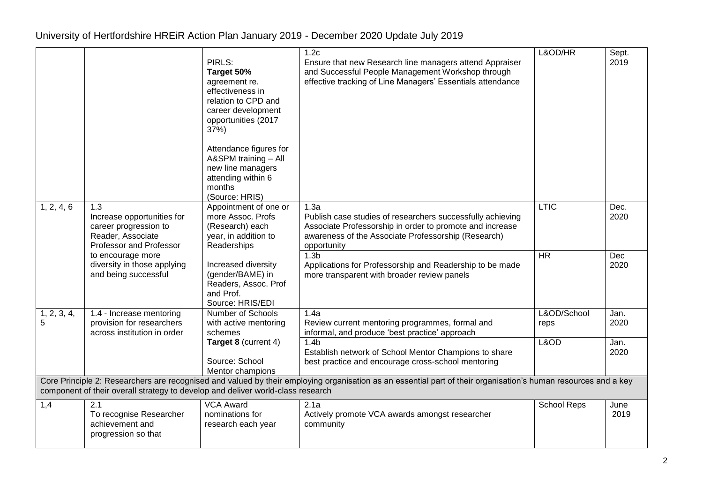|                  |                                                                                                            | PIRLS:<br>Target 50%<br>agreement re.<br>effectiveness in<br>relation to CPD and<br>career development<br>opportunities (2017<br>37%)<br>Attendance figures for<br>A&SPM training - All<br>new line managers<br>attending within 6<br>months<br>(Source: HRIS) | 1.2 <sub>c</sub><br>Ensure that new Research line managers attend Appraiser<br>and Successful People Management Workshop through<br>effective tracking of Line Managers' Essentials attendance       | L&OD/HR             | Sept.<br>2019 |
|------------------|------------------------------------------------------------------------------------------------------------|----------------------------------------------------------------------------------------------------------------------------------------------------------------------------------------------------------------------------------------------------------------|------------------------------------------------------------------------------------------------------------------------------------------------------------------------------------------------------|---------------------|---------------|
| 1, 2, 4, 6       | 1.3<br>Increase opportunities for<br>career progression to<br>Reader, Associate<br>Professor and Professor | Appointment of one or<br>more Assoc. Profs<br>(Research) each<br>year, in addition to<br>Readerships                                                                                                                                                           | 1.3a<br>Publish case studies of researchers successfully achieving<br>Associate Professorship in order to promote and increase<br>awareness of the Associate Professorship (Research)<br>opportunity | <b>LTIC</b>         | Dec.<br>2020  |
|                  | to encourage more<br>diversity in those applying<br>and being successful                                   | Increased diversity<br>(gender/BAME) in<br>Readers, Assoc. Prof<br>and Prof.<br>Source: HRIS/EDI                                                                                                                                                               | 1.3 <sub>b</sub><br>Applications for Professorship and Readership to be made<br>more transparent with broader review panels                                                                          | $\overline{HR}$     | Dec<br>2020   |
| 1, 2, 3, 4,<br>5 | 1.4 - Increase mentoring<br>provision for researchers<br>across institution in order                       | Number of Schools<br>with active mentoring<br>schemes                                                                                                                                                                                                          | 1.4a<br>Review current mentoring programmes, formal and<br>informal, and produce 'best practice' approach                                                                                            | L&OD/School<br>reps | Jan.<br>2020  |
|                  |                                                                                                            | Target 8 (current 4)<br>Source: School<br>Mentor champions                                                                                                                                                                                                     | 1.4 <sub>b</sub><br>Establish network of School Mentor Champions to share<br>best practice and encourage cross-school mentoring                                                                      | L&OD                | Jan.<br>2020  |
|                  | component of their overall strategy to develop and deliver world-class research                            |                                                                                                                                                                                                                                                                | Core Principle 2: Researchers are recognised and valued by their employing organisation as an essential part of their organisation's human resources and a key                                       |                     |               |
| 1,4              | $\overline{2.1}$<br>To recognise Researcher<br>achievement and<br>progression so that                      | <b>VCA Award</b><br>nominations for<br>research each year                                                                                                                                                                                                      | 2.1a<br>Actively promote VCA awards amongst researcher<br>community                                                                                                                                  | <b>School Reps</b>  | June<br>2019  |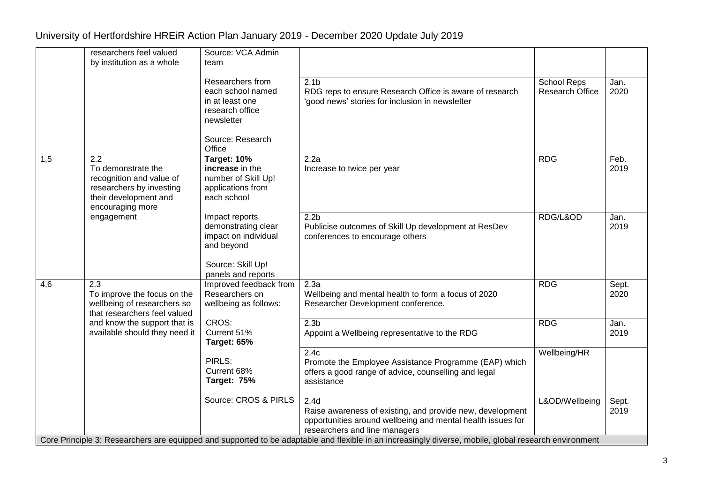|     | researchers feel valued<br>by institution as a whole                                                                           | Source: VCA Admin<br>team                                                                                               |                                                                                                                                                                                                                                                                                                                                        |                                       |               |
|-----|--------------------------------------------------------------------------------------------------------------------------------|-------------------------------------------------------------------------------------------------------------------------|----------------------------------------------------------------------------------------------------------------------------------------------------------------------------------------------------------------------------------------------------------------------------------------------------------------------------------------|---------------------------------------|---------------|
|     |                                                                                                                                | Researchers from<br>each school named<br>in at least one<br>research office<br>newsletter<br>Source: Research<br>Office | 2.1 <sub>b</sub><br>RDG reps to ensure Research Office is aware of research<br>'good news' stories for inclusion in newsletter                                                                                                                                                                                                         | School Reps<br><b>Research Office</b> | Jan.<br>2020  |
| 1,5 | 2.2<br>To demonstrate the<br>recognition and value of<br>researchers by investing<br>their development and<br>encouraging more | Target: 10%<br>increase in the<br>number of Skill Up!<br>applications from<br>each school                               | 2.2a<br>Increase to twice per year                                                                                                                                                                                                                                                                                                     | <b>RDG</b>                            | Feb.<br>2019  |
|     | engagement                                                                                                                     | Impact reports<br>demonstrating clear<br>impact on individual<br>and beyond<br>Source: Skill Up!<br>panels and reports  | 2.2 <sub>b</sub><br>Publicise outcomes of Skill Up development at ResDev<br>conferences to encourage others                                                                                                                                                                                                                            | RDG/L&OD                              | Jan.<br>2019  |
| 4,6 | 2.3<br>To improve the focus on the<br>wellbeing of researchers so<br>that researchers feel valued                              | Improved feedback from<br>Researchers on<br>wellbeing as follows:                                                       | 2.3a<br>Wellbeing and mental health to form a focus of 2020<br>Researcher Development conference.                                                                                                                                                                                                                                      | <b>RDG</b>                            | Sept.<br>2020 |
|     | and know the support that is<br>available should they need it                                                                  | CROS:<br>Current 51%<br>Target: 65%                                                                                     | 2.3 <sub>b</sub><br>Appoint a Wellbeing representative to the RDG                                                                                                                                                                                                                                                                      | <b>RDG</b>                            | Jan.<br>2019  |
|     |                                                                                                                                | PIRLS:<br>Current 68%<br>Target: 75%                                                                                    | 2.4c<br>Promote the Employee Assistance Programme (EAP) which<br>offers a good range of advice, counselling and legal<br>assistance                                                                                                                                                                                                    | Wellbeing/HR                          |               |
|     |                                                                                                                                | Source: CROS & PIRLS                                                                                                    | 2.4 <sub>d</sub><br>Raise awareness of existing, and provide new, development<br>opportunities around wellbeing and mental health issues for<br>researchers and line managers<br>Core Principle 3: Researchers are equipped and supported to be adaptable and flexible in an increasingly diverse, mobile, global research environment | L&OD/Wellbeing                        | Sept.<br>2019 |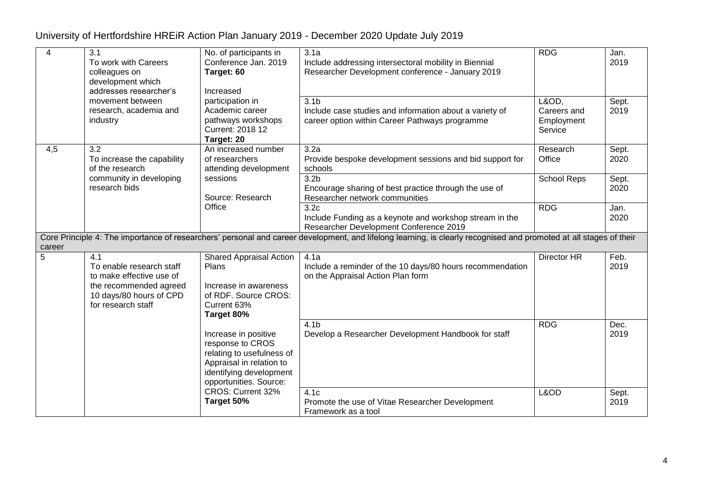| 4      | $\overline{3.1}$<br>To work with Careers<br>colleagues on<br>development which<br>addresses researcher's                               | No. of participants in<br>Conference Jan. 2019<br>Target: 60<br>Increased                                                                              | 3.1a<br>Include addressing intersectoral mobility in Biennial<br>Researcher Development conference - January 2019                                                  | <b>RDG</b>                                    | Jan.<br>2019  |
|--------|----------------------------------------------------------------------------------------------------------------------------------------|--------------------------------------------------------------------------------------------------------------------------------------------------------|--------------------------------------------------------------------------------------------------------------------------------------------------------------------|-----------------------------------------------|---------------|
|        | movement between<br>research, academia and<br>industry                                                                                 | participation in<br>Academic career<br>pathways workshops<br>Current: 2018 12<br>Target: 20                                                            | 3.1 <sub>b</sub><br>Include case studies and information about a variety of<br>career option within Career Pathways programme                                      | L&OD,<br>Careers and<br>Employment<br>Service | Sept.<br>2019 |
| 4,5    | 3.2<br>To increase the capability<br>of the research                                                                                   | An increased number<br>of researchers<br>attending development                                                                                         | 3.2a<br>Provide bespoke development sessions and bid support for<br>schools                                                                                        | Research<br>Office                            | Sept.<br>2020 |
|        | community in developing<br>research bids                                                                                               | sessions<br>Source: Research                                                                                                                           | 3.2 <sub>b</sub><br>Encourage sharing of best practice through the use of<br>Researcher network communities                                                        | <b>School Reps</b>                            | Sept.<br>2020 |
|        |                                                                                                                                        | Office                                                                                                                                                 | 3.2c<br>Include Funding as a keynote and workshop stream in the<br>Researcher Development Conference 2019                                                          | <b>RDG</b>                                    | Jan.<br>2020  |
| career |                                                                                                                                        |                                                                                                                                                        | Core Principle 4: The importance of researchers' personal and career development, and lifelong learning, is clearly recognised and promoted at all stages of their |                                               |               |
| 5      | 4.1<br>To enable research staff<br>to make effective use of<br>the recommended agreed<br>10 days/80 hours of CPD<br>for research staff | <b>Shared Appraisal Action</b><br>Plans<br>Increase in awareness<br>of RDF. Source CROS:<br>Current 63%<br>Target 80%                                  | 4.1a<br>Include a reminder of the 10 days/80 hours recommendation<br>on the Appraisal Action Plan form                                                             | Director HR                                   | Feb.<br>2019  |
|        |                                                                                                                                        | Increase in positive<br>response to CROS<br>relating to usefulness of<br>Appraisal in relation to<br>identifying development<br>opportunities. Source: | 4.1 <sub>b</sub><br>Develop a Researcher Development Handbook for staff                                                                                            | <b>RDG</b>                                    | Dec.<br>2019  |
|        |                                                                                                                                        | CROS: Current 32%<br>Target 50%                                                                                                                        | 4.1c<br>Promote the use of Vitae Researcher Development<br>Framework as a tool                                                                                     | L&OD                                          | Sept.<br>2019 |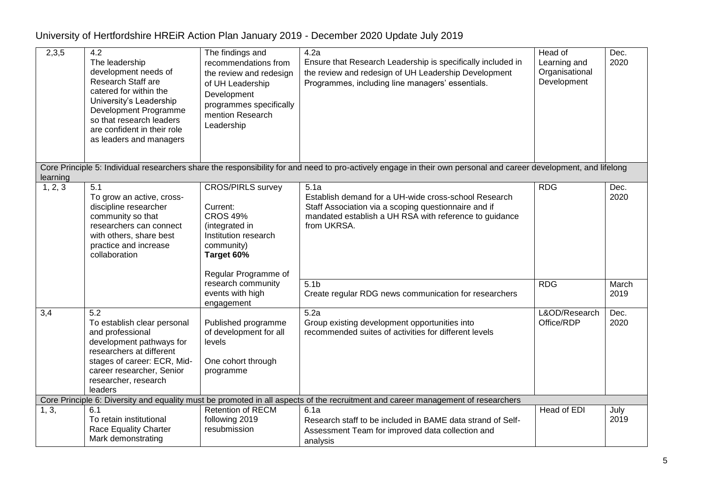| 2,3,5    | $\overline{4.2}$<br>The leadership<br>development needs of<br>Research Staff are<br>catered for within the<br>University's Leadership<br>Development Programme<br>so that research leaders<br>are confident in their role<br>as leaders and managers | The findings and<br>recommendations from<br>the review and redesign<br>of UH Leadership<br>Development<br>programmes specifically<br>mention Research<br>Leadership | 4.2a<br>Ensure that Research Leadership is specifically included in<br>the review and redesign of UH Leadership Development<br>Programmes, including line managers' essentials.               | Head of<br>Learning and<br>Organisational<br>Development | Dec.<br>2020  |
|----------|------------------------------------------------------------------------------------------------------------------------------------------------------------------------------------------------------------------------------------------------------|---------------------------------------------------------------------------------------------------------------------------------------------------------------------|-----------------------------------------------------------------------------------------------------------------------------------------------------------------------------------------------|----------------------------------------------------------|---------------|
| learning |                                                                                                                                                                                                                                                      |                                                                                                                                                                     | Core Principle 5: Individual researchers share the responsibility for and need to pro-actively engage in their own personal and career development, and lifelong                              |                                                          |               |
| 1, 2, 3  | 5.1<br>To grow an active, cross-<br>discipline researcher<br>community so that<br>researchers can connect<br>with others, share best<br>practice and increase<br>collaboration                                                                       | <b>CROS/PIRLS survey</b><br>Current:<br><b>CROS 49%</b><br>(integrated in<br>Institution research<br>community)<br>Target 60%<br>Regular Programme of               | 5.1a<br>Establish demand for a UH-wide cross-school Research<br>Staff Association via a scoping questionnaire and if<br>mandated establish a UH RSA with reference to guidance<br>from UKRSA. | <b>RDG</b>                                               | Dec.<br>2020  |
|          |                                                                                                                                                                                                                                                      | research community<br>events with high<br>engagement                                                                                                                | 5.1 <sub>b</sub><br>Create regular RDG news communication for researchers                                                                                                                     | <b>RDG</b>                                               | March<br>2019 |
| 3,4      | $\overline{5.2}$<br>To establish clear personal<br>and professional<br>development pathways for<br>researchers at different<br>stages of career: ECR, Mid-<br>career researcher, Senior<br>researcher, research<br>leaders                           | Published programme<br>of development for all<br>levels<br>One cohort through<br>programme                                                                          | 5.2a<br>Group existing development opportunities into<br>recommended suites of activities for different levels                                                                                | L&OD/Research<br>Office/RDP                              | Dec.<br>2020  |
|          |                                                                                                                                                                                                                                                      |                                                                                                                                                                     | Core Principle 6: Diversity and equality must be promoted in all aspects of the recruitment and career management of researchers                                                              |                                                          |               |
| 1, 3,    | 6.1<br>To retain institutional<br>Race Equality Charter<br>Mark demonstrating                                                                                                                                                                        | <b>Retention of RECM</b><br>following 2019<br>resubmission                                                                                                          | 6.1a<br>Research staff to be included in BAME data strand of Self-<br>Assessment Team for improved data collection and<br>analysis                                                            | Head of EDI                                              | July<br>2019  |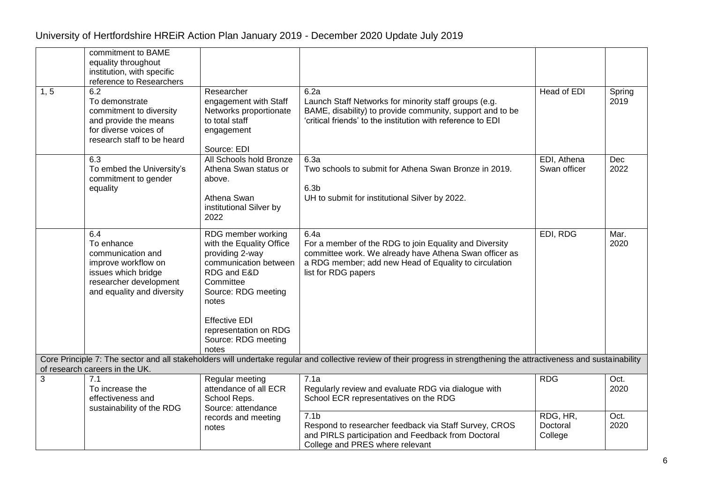|      | commitment to BAME<br>equality throughout<br>institution, with specific<br>reference to Researchers                                          |                                                                                                                                                        |                                                                                                                                                                                                          |                                 |                |
|------|----------------------------------------------------------------------------------------------------------------------------------------------|--------------------------------------------------------------------------------------------------------------------------------------------------------|----------------------------------------------------------------------------------------------------------------------------------------------------------------------------------------------------------|---------------------------------|----------------|
| 1, 5 | 6.2<br>To demonstrate<br>commitment to diversity<br>and provide the means<br>for diverse voices of<br>research staff to be heard             | Researcher<br>engagement with Staff<br>Networks proportionate<br>to total staff<br>engagement<br>Source: EDI                                           | 6.2a<br>Launch Staff Networks for minority staff groups (e.g.<br>BAME, disability) to provide community, support and to be<br>'critical friends' to the institution with reference to EDI                | Head of EDI                     | Spring<br>2019 |
|      | 6.3<br>To embed the University's<br>commitment to gender<br>equality                                                                         | All Schools hold Bronze<br>Athena Swan status or<br>above.<br>Athena Swan<br>institutional Silver by<br>2022                                           | 6.3a<br>Two schools to submit for Athena Swan Bronze in 2019.<br>6.3 <sub>b</sub><br>UH to submit for institutional Silver by 2022.                                                                      | EDI, Athena<br>Swan officer     | Dec<br>2022    |
|      | 6.4<br>To enhance<br>communication and<br>improve workflow on<br>issues which bridge<br>researcher development<br>and equality and diversity | RDG member working<br>with the Equality Office<br>providing 2-way<br>communication between<br>RDG and E&D<br>Committee<br>Source: RDG meeting<br>notes | 6.4a<br>For a member of the RDG to join Equality and Diversity<br>committee work. We already have Athena Swan officer as<br>a RDG member; add new Head of Equality to circulation<br>list for RDG papers | EDI, RDG                        | Mar.<br>2020   |
|      |                                                                                                                                              | <b>Effective EDI</b><br>representation on RDG<br>Source: RDG meeting<br>notes                                                                          |                                                                                                                                                                                                          |                                 |                |
|      | of research careers in the UK.                                                                                                               |                                                                                                                                                        | Core Principle 7: The sector and all stakeholders will undertake regular and collective review of their progress in strengthening the attractiveness and sustainability                                  |                                 |                |
| 3    | 7.1<br>To increase the<br>effectiveness and<br>sustainability of the RDG                                                                     | Regular meeting<br>attendance of all ECR<br>School Reps.<br>Source: attendance                                                                         | 7.1a<br>Regularly review and evaluate RDG via dialogue with<br>School ECR representatives on the RDG                                                                                                     | <b>RDG</b>                      | Oct.<br>2020   |
|      |                                                                                                                                              | records and meeting<br>notes                                                                                                                           | 7.1 <sub>b</sub><br>Respond to researcher feedback via Staff Survey, CROS<br>and PIRLS participation and Feedback from Doctoral<br>College and PRES where relevant                                       | RDG, HR,<br>Doctoral<br>College | Oct.<br>2020   |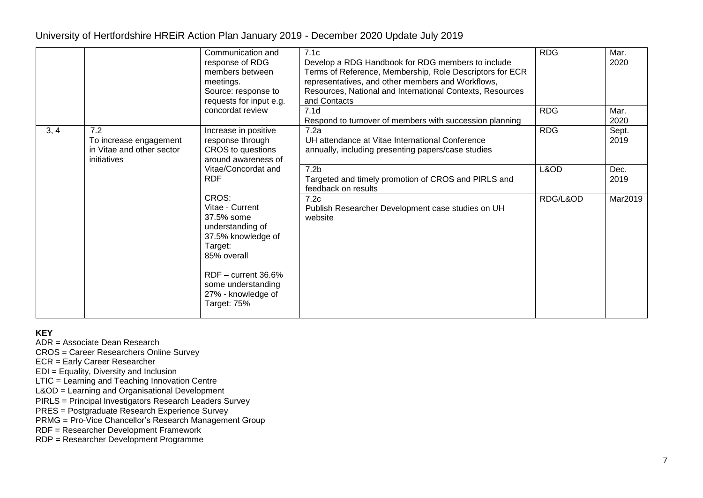|      |                                                                           | Communication and<br>response of RDG<br>members between<br>meetings.<br>Source: response to<br>requests for input e.g.                                                                         | 7.1c<br>Develop a RDG Handbook for RDG members to include<br>Terms of Reference, Membership, Role Descriptors for ECR<br>representatives, and other members and Workflows,<br>Resources, National and International Contexts, Resources<br>and Contacts | <b>RDG</b> | Mar.<br>2020  |
|------|---------------------------------------------------------------------------|------------------------------------------------------------------------------------------------------------------------------------------------------------------------------------------------|---------------------------------------------------------------------------------------------------------------------------------------------------------------------------------------------------------------------------------------------------------|------------|---------------|
|      |                                                                           | concordat review                                                                                                                                                                               | 7.1 <sub>d</sub><br>Respond to turnover of members with succession planning                                                                                                                                                                             | <b>RDG</b> | Mar.<br>2020  |
| 3, 4 | 7.2<br>To increase engagement<br>in Vitae and other sector<br>initiatives | Increase in positive<br>response through<br>CROS to questions<br>around awareness of                                                                                                           | 7.2a<br>UH attendance at Vitae International Conference<br>annually, including presenting papers/case studies                                                                                                                                           | <b>RDG</b> | Sept.<br>2019 |
|      | <b>RDF</b>                                                                | Vitae/Concordat and                                                                                                                                                                            | 7.2 <sub>b</sub><br>Targeted and timely promotion of CROS and PIRLS and<br>feedback on results                                                                                                                                                          | L&OD       | Dec.<br>2019  |
|      |                                                                           | CROS:<br>Vitae - Current<br>37.5% some<br>understanding of<br>37.5% knowledge of<br>Target:<br>85% overall<br>$RDF$ – current 36.6%<br>some understanding<br>27% - knowledge of<br>Target: 75% | 7.2c<br>Publish Researcher Development case studies on UH<br>website                                                                                                                                                                                    | RDG/L&OD   | Mar2019       |

**KEY**

ADR = Associate Dean Research

CROS = Career Researchers Online Survey

ECR = Early Career Researcher

EDI = Equality, Diversity and Inclusion

LTIC = Learning and Teaching Innovation Centre

L&OD = Learning and Organisational Development

PIRLS = Principal Investigators Research Leaders Survey

PRES = Postgraduate Research Experience Survey

PRMG = Pro-Vice Chancellor's Research Management Group

RDF = Researcher Development Framework

RDP = Researcher Development Programme